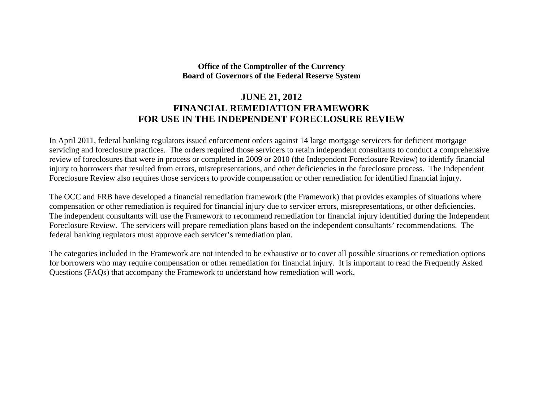## **Office of the Comptroller of the Currency Board of Governors of the Federal Reserve System**

# **JUNE 21, 2012 FINANCIAL REMEDIATION FRAMEWORK FOR USE IN THE INDEPENDENT FORECLOSURE REVIEW**

In April 2011, federal banking regulators issued enforcement orders against 14 large mortgage servicers for deficient mortgage servicing and foreclosure practices. The orders required those servicers to retain independent consultants to conduct a comprehensive review of foreclosures that were in process or completed in 2009 or 2010 (the Independent Foreclosure Review) to identify financial injury to borrowers that resulted from errors, misrepresentations, and other deficiencies in the foreclosure process. The Independent Foreclosure Review also requires those servicers to provide compensation or other remediation for identified financial injury.

The OCC and FRB have developed a financial remediation framework (the Framework) that provides examples of situations where compensation or other remediation is required for financial injury due to servicer errors, misrepresentations, or other deficiencies. The independent consultants will use the Framework to recommend remediation for financial injury identified during the Independent Foreclosure Review. The servicers will prepare remediation plans based on the independent consultants' recommendations. The federal banking regulators must approve each servicer's remediation plan.

The categories included in the Framework are not intended to be exhaustive or to cover all possible situations or remediation options for borrowers who may require compensation or other remediation for financial injury. It is important to read the Frequently Asked Questions (FAQs) that accompany the Framework to understand how remediation will work.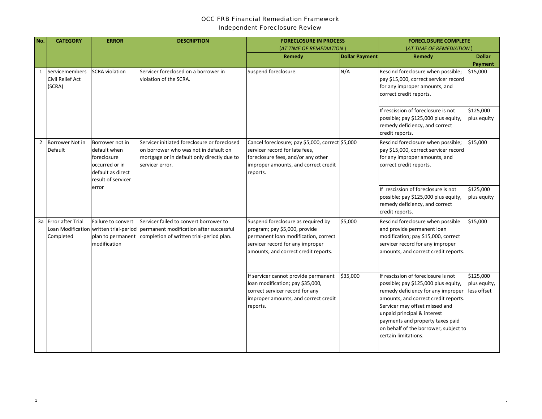#### *OCC FRB Financial Remediation Framework*

#### *Independent Foreclosure Review*

| No.            | <b>CATEGORY</b>                              | <b>ERROR</b>                                                                                                | <b>DESCRIPTION</b>                                                                                                                                                   | <b>FORECLOSURE IN PROCESS</b>                                                                                                                                                           |                       | <b>FORECLOSURE COMPLETE</b>                                                                                                                                                                                                                                                                                                     |                                          |
|----------------|----------------------------------------------|-------------------------------------------------------------------------------------------------------------|----------------------------------------------------------------------------------------------------------------------------------------------------------------------|-----------------------------------------------------------------------------------------------------------------------------------------------------------------------------------------|-----------------------|---------------------------------------------------------------------------------------------------------------------------------------------------------------------------------------------------------------------------------------------------------------------------------------------------------------------------------|------------------------------------------|
|                |                                              |                                                                                                             |                                                                                                                                                                      | (AT TIME OF REMEDIATION)                                                                                                                                                                |                       | (AT TIME OF REMEDIATION)                                                                                                                                                                                                                                                                                                        |                                          |
|                |                                              |                                                                                                             |                                                                                                                                                                      | Remedy                                                                                                                                                                                  | <b>Dollar Payment</b> | Remedy                                                                                                                                                                                                                                                                                                                          | <b>Dollar</b><br>Payment                 |
| $\mathbf{1}$   | Servicemembers<br>Civil Relief Act<br>(SCRA) | <b>SCRA</b> violation                                                                                       | Servicer foreclosed on a borrower in<br>violation of the SCRA.                                                                                                       | Suspend foreclosure.                                                                                                                                                                    | N/A                   | Rescind foreclosure when possible;<br>pay \$15,000, correct servicer record<br>for any improper amounts, and<br>correct credit reports.                                                                                                                                                                                         | \$15,000                                 |
|                |                                              |                                                                                                             |                                                                                                                                                                      |                                                                                                                                                                                         |                       | If rescission of foreclosure is not<br>possible; pay \$125,000 plus equity,<br>remedy deficiency, and correct<br>credit reports.                                                                                                                                                                                                | \$125,000<br>plus equity                 |
| $\overline{2}$ | Borrower Not in<br>Default                   | Borrower not in<br>default when<br>foreclosure<br>occurred or in<br>default as direct<br>result of servicer | Servicer initiated foreclosure or foreclosed<br>on borrower who was not in default on<br>mortgage or in default only directly due to<br>servicer error.              | Cancel foreclosure; pay \$5,000, correct \$5,000<br>servicer record for late fees,<br>foreclosure fees, and/or any other<br>improper amounts, and correct credit<br>reports.            |                       | Rescind foreclosure when possible;<br>pay \$15,000, correct servicer record<br>for any improper amounts, and<br>correct credit reports.                                                                                                                                                                                         | \$15,000                                 |
|                |                                              | error                                                                                                       |                                                                                                                                                                      |                                                                                                                                                                                         |                       | If rescission of foreclosure is not<br>possible; pay \$125,000 plus equity,<br>remedy deficiency, and correct<br>credit reports.                                                                                                                                                                                                | \$125,000<br>plus equity                 |
|                | 3a Error after Trial<br>Completed            | Failure to convert<br>plan to permanent<br>modification                                                     | Servicer failed to convert borrower to<br>Loan Modification written trial-period permanent modification after successful<br>completion of written trial-period plan. | Suspend foreclosure as required by<br>program; pay \$5,000, provide<br>permanent loan modification, correct<br>servicer record for any improper<br>amounts, and correct credit reports. | \$5,000               | Rescind foreclosure when possible<br>and provide permanent loan<br>modification; pay \$15,000, correct<br>servicer record for any improper<br>amounts, and correct credit reports.                                                                                                                                              | \$15,000                                 |
|                |                                              |                                                                                                             |                                                                                                                                                                      | If servicer cannot provide permanent<br>loan modification; pay \$35,000,<br>correct servicer record for any<br>improper amounts, and correct credit<br>reports.                         | \$35,000              | If rescission of foreclosure is not<br>possible; pay \$125,000 plus equity,<br>remedy deficiency for any improper<br>amounts, and correct credit reports.<br>Servicer may offset missed and<br>unpaid principal & interest<br>payments and property taxes paid<br>on behalf of the borrower, subject to<br>certain limitations. | \$125,000<br>plus equity,<br>less offset |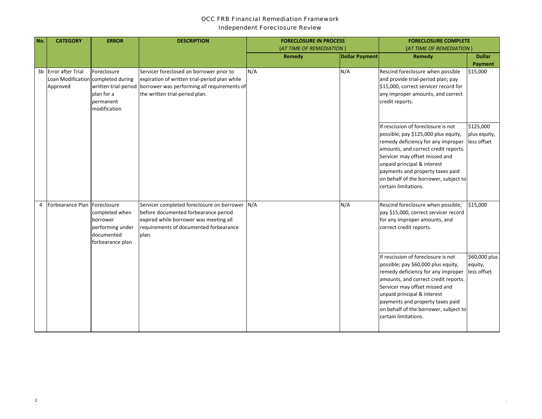#### *OCC FRB Financial Remediation Framework*

*Independent Foreclosure Review*

| No. | <b>CATEGORY</b>                                                        | <b>ERROR</b>                                                                     | <b>DESCRIPTION</b>                                                                                                                                                                              | <b>FORECLOSURE IN PROCESS</b> |                       | <b>FORECLOSURE COMPLETE</b>                                                                                                                                                                                                                                                                                                     |                                          |
|-----|------------------------------------------------------------------------|----------------------------------------------------------------------------------|-------------------------------------------------------------------------------------------------------------------------------------------------------------------------------------------------|-------------------------------|-----------------------|---------------------------------------------------------------------------------------------------------------------------------------------------------------------------------------------------------------------------------------------------------------------------------------------------------------------------------|------------------------------------------|
|     |                                                                        |                                                                                  |                                                                                                                                                                                                 | (AT TIME OF REMEDIATION)      |                       | (AT TIME OF REMEDIATION)                                                                                                                                                                                                                                                                                                        |                                          |
|     |                                                                        |                                                                                  |                                                                                                                                                                                                 | Remedy                        | <b>Dollar Payment</b> | Remedy                                                                                                                                                                                                                                                                                                                          | <b>Dollar</b><br>Payment                 |
|     | 3b Error after Trial<br>Loan Modification completed during<br>Approved | Foreclosure<br>plan for a<br>bermanent<br>modification                           | Servicer foreclosed on borrower prior to<br>expiration of written trial-period plan while<br>written trial-period borrower was performing all requirements of<br>the written trial-period plan. | N/A                           | N/A                   | Rescind foreclosure when possible<br>and provide trial-period plan; pay<br>\$15,000, correct servicer record for<br>any improper amounts, and correct<br>credit reports.                                                                                                                                                        | \$15,000                                 |
|     |                                                                        |                                                                                  |                                                                                                                                                                                                 |                               |                       | If rescission of foreclosure is not<br>possible; pay \$125,000 plus equity,<br>remedy deficiency for any improper<br>amounts, and correct credit reports.<br>Servicer may offset missed and<br>unpaid principal & interest<br>payments and property taxes paid<br>on behalf of the borrower, subject to<br>certain limitations. | \$125,000<br>plus equity,<br>less offset |
|     | 4 Forbearance Plan Foreclosure                                         | completed when<br>borrower<br>performing under<br>documented<br>forbearance plan | Servicer completed foreclosure on borrower N/A<br>before documented forbearance period<br>expired while borrower was meeting all<br>requirements of documented forbearance<br>plan.             |                               | N/A                   | Rescind foreclosure when possible;<br>pay \$15,000, correct servicer record<br>for any improper amounts, and<br>correct credit reports.                                                                                                                                                                                         | \$15,000                                 |
|     |                                                                        |                                                                                  |                                                                                                                                                                                                 |                               |                       | If rescission of foreclosure is not<br>possible; pay \$60,000 plus equity,<br>remedy deficiency for any improper<br>amounts, and correct credit reports.<br>Servicer may offset missed and<br>unpaid principal & interest<br>payments and property taxes paid<br>on behalf of the borrower, subject to<br>certain limitations.  | \$60,000 plus<br>equity,<br>less offset  |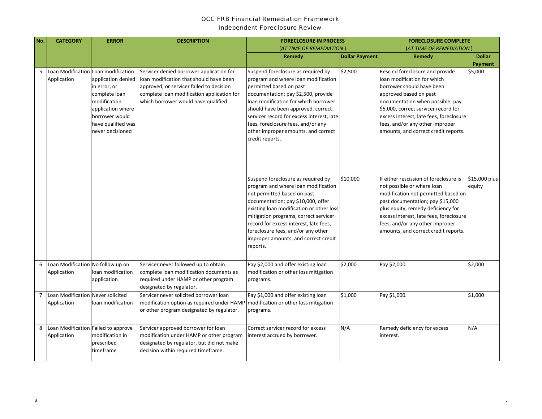#### *OCC FRB Financial Remediation Framework Independent Foreclosure Review*

| No. | <b>CATEGORY</b>                                    | <b>ERROR</b>                                                                                                                                         | <b>DESCRIPTION</b>                                                                                                                                                                                                    | <b>FORECLOSURE IN PROCESS</b>                                                                                                                                                                                                                                                                                                                                           |                       | <b>FORECLOSURE COMPLETE</b>                                                                                                                                                                                                                                                                                             |                         |
|-----|----------------------------------------------------|------------------------------------------------------------------------------------------------------------------------------------------------------|-----------------------------------------------------------------------------------------------------------------------------------------------------------------------------------------------------------------------|-------------------------------------------------------------------------------------------------------------------------------------------------------------------------------------------------------------------------------------------------------------------------------------------------------------------------------------------------------------------------|-----------------------|-------------------------------------------------------------------------------------------------------------------------------------------------------------------------------------------------------------------------------------------------------------------------------------------------------------------------|-------------------------|
|     |                                                    |                                                                                                                                                      |                                                                                                                                                                                                                       | (AT TIME OF REMEDIATION )                                                                                                                                                                                                                                                                                                                                               |                       | (AT TIME OF REMEDIATION)                                                                                                                                                                                                                                                                                                |                         |
|     |                                                    |                                                                                                                                                      |                                                                                                                                                                                                                       | Remedy                                                                                                                                                                                                                                                                                                                                                                  | <b>Dollar Payment</b> | Remedy                                                                                                                                                                                                                                                                                                                  | <b>Dollar</b>           |
|     |                                                    |                                                                                                                                                      |                                                                                                                                                                                                                       |                                                                                                                                                                                                                                                                                                                                                                         |                       |                                                                                                                                                                                                                                                                                                                         | Payment                 |
| 5   | Loan Modification Loan modification<br>Application | application denied<br>in error, or<br>complete loan<br>modification<br>application where<br>borrower would<br>have qualified was<br>never decisioned | Servicer denied borrower application for<br>loan modification that should have been<br>approved, or servicer failed to decision<br>complete loan modification application for<br>which borrower would have qualified. | Suspend foreclosure as required by<br>program and where loan modification<br>permitted based on past<br>documentation; pay \$2,500, provide<br>loan modification for which borrower<br>should have been approved, correct<br>servicer record for excess interest, late<br>fees, foreclosure fees, and/or any<br>other improper amounts, and correct<br>credit reports.  | \$2,500               | Rescind foreclosure and provide<br>loan modification for which<br>borrower should have been<br>approved based on past<br>documentation when possible; pay<br>\$5,000, correct servicer record for<br>excess interest, late fees, foreclosure<br>fees, and/or any other improper<br>amounts, and correct credit reports. | \$5,000                 |
|     |                                                    |                                                                                                                                                      |                                                                                                                                                                                                                       | Suspend foreclosure as required by<br>program and where loan modification<br>not permitted based on past<br>documentation; pay \$10,000, offer<br>existing loan modification or other loss<br>mitigation programs, correct servicer<br>record for excess interest, late fees,<br>foreclosure fees, and/or any other<br>improper amounts, and correct credit<br>reports. | \$10,000              | If either rescission of foreclosure is<br>not possible or where loan<br>modification not permitted based on<br>past documentation; pay \$15,000<br>plus equity, remedy deficiency for<br>excess interest, late fees, foreclosure<br>fees, and/or any other improper<br>amounts, and correct credit reports.             | \$15,000 plus<br>equity |
| 6   | Loan Modification No follow up on<br>Application   | loan modification<br>application                                                                                                                     | Servicer never followed up to obtain<br>complete loan modification documents as<br>required under HAMP or other program<br>designated by regulator.                                                                   | Pay \$2,000 and offer existing loan<br>modification or other loss mitigation<br>programs.                                                                                                                                                                                                                                                                               | \$2,000               | Pay \$2,000.                                                                                                                                                                                                                                                                                                            | \$2,000                 |
|     | 7 Loan Modification Never solicited<br>Application | loan modification                                                                                                                                    | Servicer never solicited borrower loan<br>modification option as required under HAMP<br>or other program designated by regulator.                                                                                     | Pay \$1,000 and offer existing loan<br>modification or other loss mitigation<br>programs.                                                                                                                                                                                                                                                                               | \$1,000               | Pay \$1,000.                                                                                                                                                                                                                                                                                                            | \$1,000                 |
| 8   | Loan Modification Failed to approve<br>Application | modification in<br>prescribed<br>timeframe                                                                                                           | Servicer approved borrower for loan<br>modification under HAMP or other program<br>designated by regulator, but did not make<br>decision within required timeframe.                                                   | Correct servicer record for excess<br>interest accrued by borrower.                                                                                                                                                                                                                                                                                                     | N/A                   | Remedy deficiency for excess<br>interest.                                                                                                                                                                                                                                                                               | N/A                     |